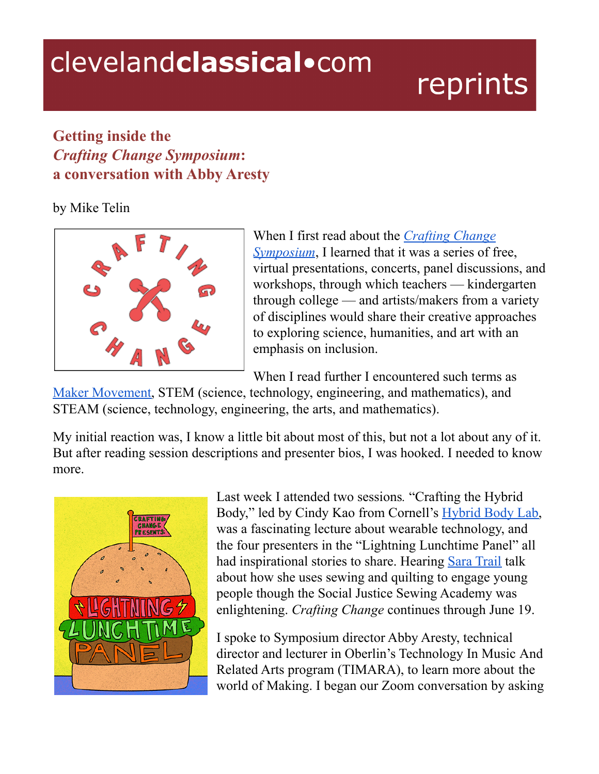## clevelandclassical.com

# reprints

## **Getting inside the** *Crafting Change Symposium***: a conversation with Abby Aresty**

by Mike Telin



When I first read about the *[Crafting](https://timara.oberlin.edu/craftingchange/about/) Change [Symposium](https://timara.oberlin.edu/craftingchange/about/)*, I learned that it was a series of free, virtual presentations, concerts, panel discussions, and workshops, through which teachers — kindergarten through college — and artists/makers from a variety of disciplines would share their creative approaches to exploring science, humanities, and art with an emphasis on inclusion.

When I read further I encountered such terms as

Maker [Movement,](https://en.wikipedia.org/wiki/Maker_culture#Philosophical_emphasis) STEM (science, technology, engineering, and mathematics), and STEAM (science, technology, engineering, the arts, and mathematics).

My initial reaction was, I know a little bit about most of this, but not a lot about any of it. But after reading session descriptions and presenter bios, I was hooked. I needed to know more.



Last week I attended two sessions*.* "Crafting the Hybrid Body," led by Cindy Kao from Cornell's [Hybrid](https://www.hybridbody.human.cornell.edu/) Body Lab, was a fascinating lecture about wearable technology, and the four presenters in the "Lightning Lunchtime Panel" all had inspirational stories to share. Hearing Sara [Trail](http://www.sjsacademy.org/meet-the-team.html) talk about how she uses sewing and quilting to engage young people though the Social Justice Sewing Academy was enlightening. *Crafting Change* continues through June 19.

I spoke to Symposium director Abby Aresty, technical director and lecturer in Oberlin's Technology In Music And Related Arts program (TIMARA), to learn more about the world of Making. I began our Zoom conversation by asking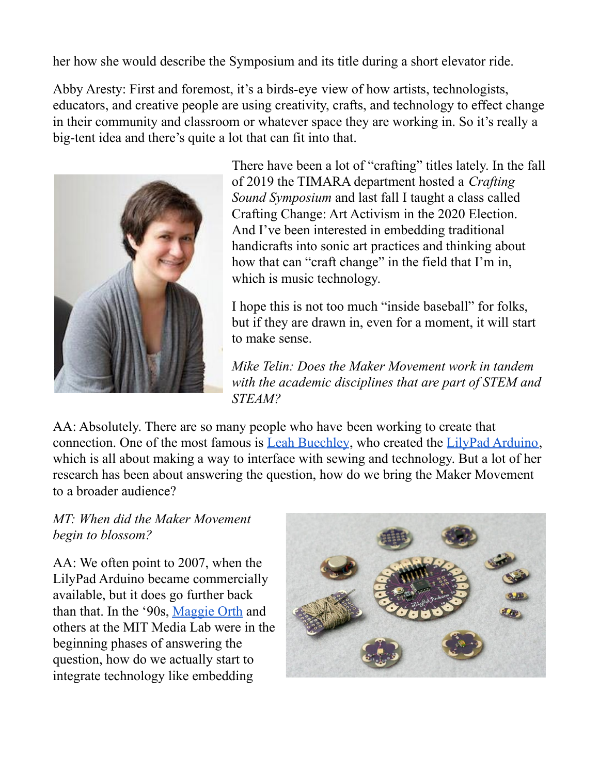her how she would describe the Symposium and its title during a short elevator ride.

Abby Aresty: First and foremost, it's a birds-eye view of how artists, technologists, educators, and creative people are using creativity, crafts, and technology to effect change in their community and classroom or whatever space they are working in. So it's really a big-tent idea and there's quite a lot that can fit into that.



There have been a lot of "crafting" titles lately. In the fall of 2019 the TIMARA department hosted a *Crafting Sound Symposium* and last fall I taught a class called Crafting Change: Art Activism in the 2020 Election. And I've been interested in embedding traditional handicrafts into sonic art practices and thinking about how that can "craft change" in the field that I'm in, which is music technology.

I hope this is not too much "inside baseball" for folks, but if they are drawn in, even for a moment, it will start to make sense.

*Mike Telin: Does the Maker Movement work in tandem with the academic disciplines that are part of STEM and STEAM?*

AA: Absolutely. There are so many people who have been working to create that connection. One of the most famous is Leah [Buechley](http://leahbuechley.com/?p=81), who created the LilyPad [Arduino,](http://leahbuechley.com/?p=81) which is all about making a way to interface with sewing and technology. But a lot of her research has been about answering the question, how do we bring the Maker Movement to a broader audience?

#### *MT: When did the Maker Movement begin to blossom?*

AA: We often point to 2007, when the LilyPad Arduino became commercially available, but it does go further back than that. In the '90s, [Maggie](http://www.maggieorth.com/bio.html) Orth and others at the MIT Media Lab were in the beginning phases of answering the question, how do we actually start to integrate technology like embedding

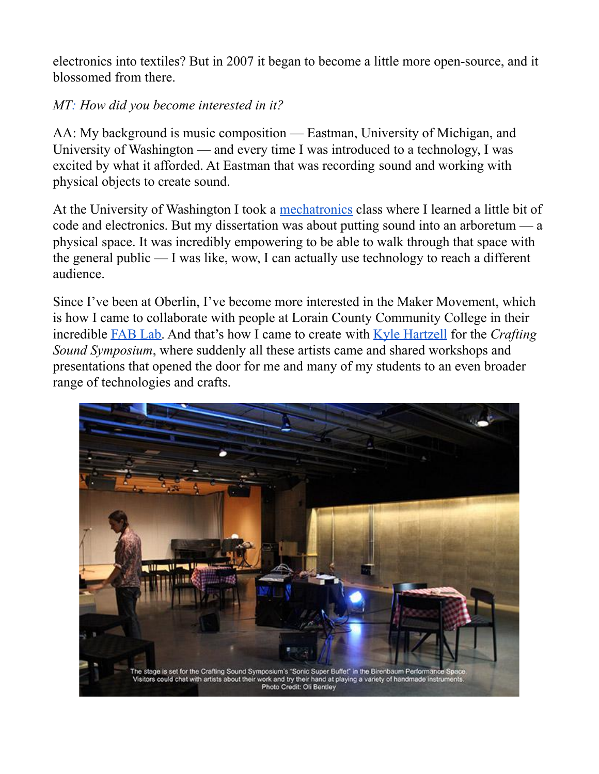electronics into textiles? But in 2007 it began to become a little more open-source, and it blossomed from there.

### *MT: How did you become interested in it?*

AA: My background is music composition — Eastman, University of Michigan, and University of Washington — and every time I was introduced to a technology, I was excited by what it afforded. At Eastman that was recording sound and working with physical objects to create sound.

At the University of Washington I took a [mechatronics](https://www.me.washington.edu/students/ug/mechatronics) class where I learned a little bit of code and electronics. But my dissertation was about putting sound into an arboretum — a physical space. It was incredibly empowering to be able to walk through that space with the general public — I was like, wow, I can actually use technology to reach a different audience.

Since I've been at Oberlin, I've become more interested in the Maker Movement, which is how I came to collaborate with people at Lorain County Community College in their incredible [FAB](https://www.lorainccc.edu/campana/fab-lab/) Lab. And that's how I came to create with Kyle [Hartzell](https://kyle-hartzell.format.com/resonance-exchange) for the *Crafting Sound Symposium*, where suddenly all these artists came and shared workshops and presentations that opened the door for me and many of my students to an even broader range of technologies and crafts.